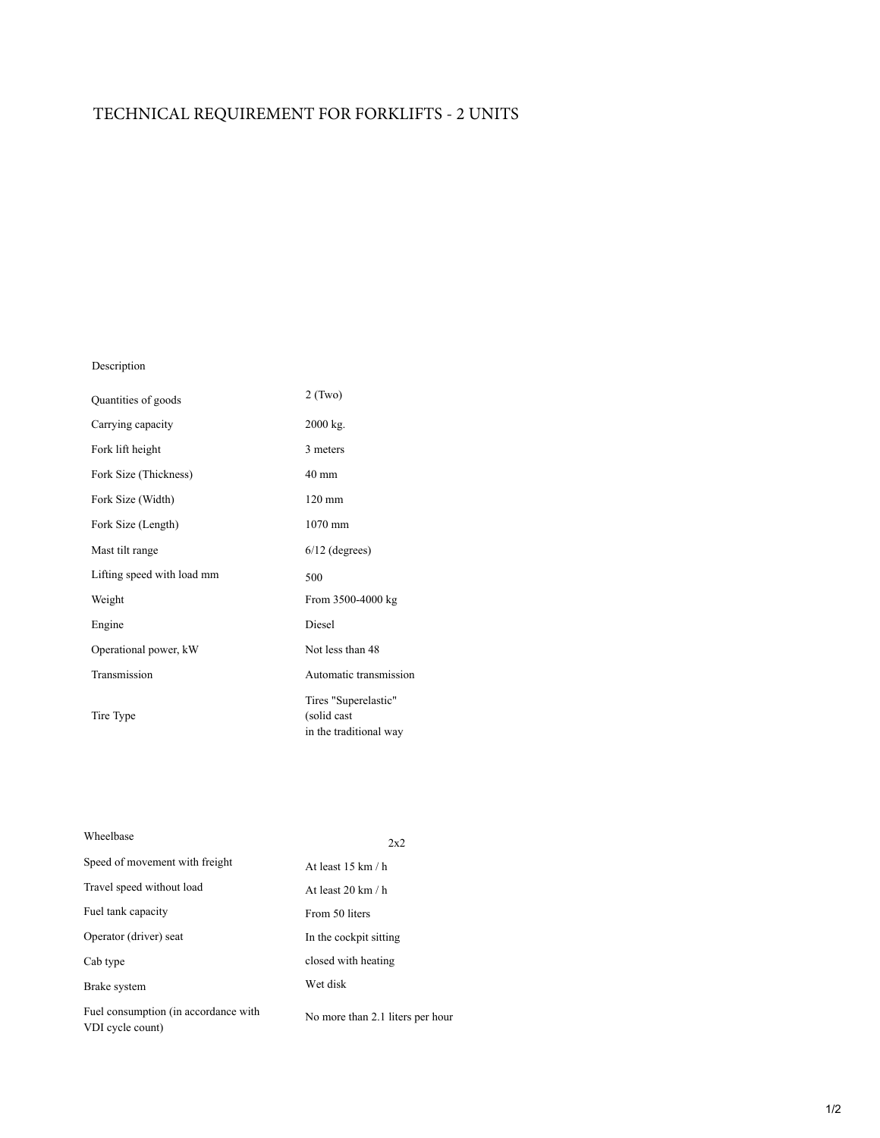## TECHNICAL REQUIREMENT FOR FORKLIFTS - 2 UNITS

## Description

| Quantities of goods        | $2$ (Two)                                                     |
|----------------------------|---------------------------------------------------------------|
| Carrying capacity          | $2000$ kg.                                                    |
| Fork lift height           | 3 meters                                                      |
| Fork Size (Thickness)      | $40 \text{ mm}$                                               |
| Fork Size (Width)          | $120 \text{ mm}$                                              |
| Fork Size (Length)         | $1070$ mm                                                     |
| Mast tilt range            | $6/12$ (degrees)                                              |
| Lifting speed with load mm | 500                                                           |
| Weight                     | From 3500-4000 kg                                             |
| Engine                     | Diesel                                                        |
| Operational power, kW      | Not less than 48                                              |
| Transmission               | Automatic transmission                                        |
| Tire Type                  | Tires "Superelastic"<br>(solid cast<br>in the traditional way |

| Wheelbase                                                | 2x2                               |
|----------------------------------------------------------|-----------------------------------|
| Speed of movement with freight                           | At least $15 \text{ km}/\text{h}$ |
| Travel speed without load                                | At least $20 \text{ km}/\text{h}$ |
| Fuel tank capacity                                       | From 50 liters                    |
| Operator (driver) seat                                   | In the cockpit sitting            |
| Cab type                                                 | closed with heating               |
| Brake system                                             | Wet disk                          |
| Fuel consumption (in accordance with<br>VDI cycle count) | No more than 2.1 liters per hour  |

## 1/2